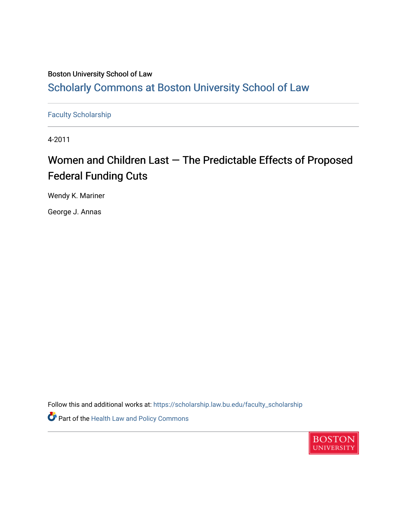## Boston University School of Law [Scholarly Commons at Boston University School of Law](https://scholarship.law.bu.edu/)

[Faculty Scholarship](https://scholarship.law.bu.edu/faculty_scholarship)

4-2011

## Women and Children Last  $-$  The Predictable Effects of Proposed Federal Funding Cuts

Wendy K. Mariner

George J. Annas

Follow this and additional works at: [https://scholarship.law.bu.edu/faculty\\_scholarship](https://scholarship.law.bu.edu/faculty_scholarship?utm_source=scholarship.law.bu.edu%2Ffaculty_scholarship%2F863&utm_medium=PDF&utm_campaign=PDFCoverPages)

Part of the [Health Law and Policy Commons](http://network.bepress.com/hgg/discipline/901?utm_source=scholarship.law.bu.edu%2Ffaculty_scholarship%2F863&utm_medium=PDF&utm_campaign=PDFCoverPages) 

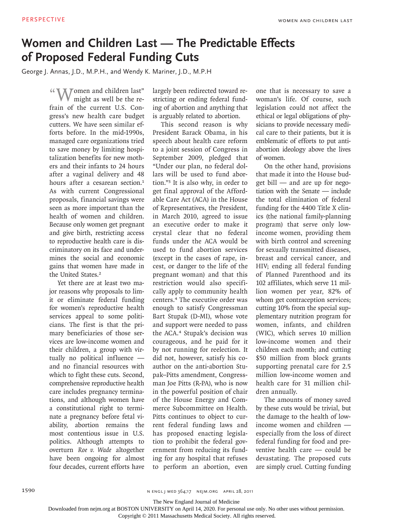## **Women and Children Last — The Predictable Effects of Proposed Federal Funding Cuts**

George J. Annas, J.D., M.P.H., and Wendy K. Mariner, J.D., M.P.H

" **WE TOMA** Tomen and children last" might as well be the refrain of the current U.S. Congress's new health care budget cutters. We have seen similar efforts before. In the mid-1990s, managed care organizations tried to save money by limiting hospitalization benefits for new mothers and their infants to 24 hours after a vaginal delivery and 48 hours after a cesarean section.<sup>1</sup> As with current Congressional proposals, financial savings were seen as more important than the health of women and children. Because only women get pregnant and give birth, restricting access to reproductive health care is discriminatory on its face and undermines the social and economic gains that women have made in the United States.<sup>2</sup>

Yet there are at least two major reasons why proposals to limit or eliminate federal funding for women's reproductive health services appeal to some politicians. The first is that the primary beneficiaries of those services are low-income women and their children, a group with virtually no political influence and no financial resources with which to fight these cuts. Second, comprehensive reproductive health care includes pregnancy terminations, and although women have a constitutional right to terminate a pregnancy before fetal viability, abortion remains the most contentious issue in U.S. politics. Although attempts to overturn *Roe v. Wade* altogether have been ongoing for almost four decades, current efforts have

largely been redirected toward restricting or ending federal funding of abortion and anything that is arguably related to abortion.

This second reason is why President Barack Obama, in his speech about health care reform to a joint session of Congress in September 2009, pledged that "Under our plan, no federal dollars will be used to fund abortion."<sup>3</sup> It is also why, in order to get final approval of the Affordable Care Act (ACA) in the House of Representatives, the President, in March 2010, agreed to issue an executive order to make it crystal clear that no federal funds under the ACA would be used to fund abortion services (except in the cases of rape, incest, or danger to the life of the pregnant woman) and that this restriction would also specifically apply to community health centers.<sup>4</sup> The executive order was enough to satisfy Congressman Bart Stupak (D-MI), whose vote and support were needed to pass the ACA.<sup>4</sup> Stupak's decision was courageous, and he paid for it by not running for reelection. It did not, however, satisfy his coauthor on the anti-abortion Stupak–Pitts amendment, Congressman Joe Pitts (R-PA), who is now in the powerful position of chair of the House Energy and Commerce Subcommittee on Health. Pitts continues to object to current federal funding laws and has proposed enacting legislation to prohibit the federal government from reducing its funding for any hospital that refuses to perform an abortion, even one that is necessary to save a woman's life. Of course, such legislation could not affect the ethical or legal obligations of physicians to provide necessary medical care to their patients, but it is emblematic of efforts to put antiabortion ideology above the lives of women.

On the other hand, provisions that made it into the House budget bill — and are up for negotiation with the Senate — include the total elimination of federal funding for the 4400 Title X clinics (the national family-planning program) that serve only lowincome women, providing them with birth control and screening for sexually transmitted diseases, breast and cervical cancer, and HIV; ending all federal funding of Planned Parenthood and its 102 affiliates, which serve 11 million women per year, 82% of whom get contraception services; cutting 10% from the special supplementary nutrition program for women, infants, and children (WIC), which serves 10 million low-income women and their children each month; and cutting \$50 million from block grants supporting prenatal care for 2.5 million low-income women and health care for 31 million children annually.

The amounts of money saved by these cuts would be trivial, but the damage to the health of lowincome women and children especially from the loss of direct federal funding for food and preventive health care — could be devastating. The proposed cuts are simply cruel. Cutting funding

1590 n engl j med 364;17 nejm.org april 28, 2011

The New England Journal of Medicine

Downloaded from nejm.org at BOSTON UNIVERSITY on April 14, 2020. For personal use only. No other uses without permission.

Copyright © 2011 Massachusetts Medical Society. All rights reserved.